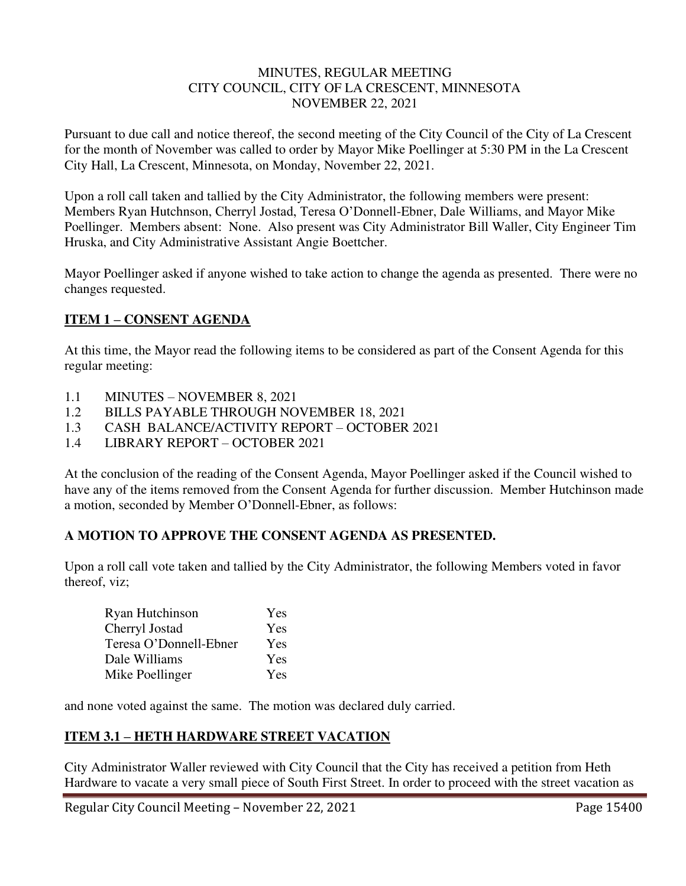#### MINUTES, REGULAR MEETING CITY COUNCIL, CITY OF LA CRESCENT, MINNESOTA NOVEMBER 22, 2021

Pursuant to due call and notice thereof, the second meeting of the City Council of the City of La Crescent for the month of November was called to order by Mayor Mike Poellinger at 5:30 PM in the La Crescent City Hall, La Crescent, Minnesota, on Monday, November 22, 2021.

Upon a roll call taken and tallied by the City Administrator, the following members were present: Members Ryan Hutchnson, Cherryl Jostad, Teresa O'Donnell-Ebner, Dale Williams, and Mayor Mike Poellinger. Members absent: None. Also present was City Administrator Bill Waller, City Engineer Tim Hruska, and City Administrative Assistant Angie Boettcher.

Mayor Poellinger asked if anyone wished to take action to change the agenda as presented. There were no changes requested.

# **ITEM 1 – CONSENT AGENDA**

At this time, the Mayor read the following items to be considered as part of the Consent Agenda for this regular meeting:

- 1.1 MINUTES NOVEMBER 8, 2021
- 1.2 BILLS PAYABLE THROUGH NOVEMBER 18, 2021
- 1.3 CASH BALANCE/ACTIVITY REPORT OCTOBER 2021
- 1.4 LIBRARY REPORT OCTOBER 2021

At the conclusion of the reading of the Consent Agenda, Mayor Poellinger asked if the Council wished to have any of the items removed from the Consent Agenda for further discussion. Member Hutchinson made a motion, seconded by Member O'Donnell-Ebner, as follows:

## **A MOTION TO APPROVE THE CONSENT AGENDA AS PRESENTED.**

Upon a roll call vote taken and tallied by the City Administrator, the following Members voted in favor thereof, viz;

| Ryan Hutchinson        | Yes |
|------------------------|-----|
| Cherryl Jostad         | Yes |
| Teresa O'Donnell-Ebner | Yes |
| Dale Williams          | Yes |
| Mike Poellinger        | Yes |

and none voted against the same. The motion was declared duly carried.

## **ITEM 3.1 – HETH HARDWARE STREET VACATION**

City Administrator Waller reviewed with City Council that the City has received a petition from Heth Hardware to vacate a very small piece of South First Street. In order to proceed with the street vacation as

Regular City Council Meeting – November 22, 2021 Page 15400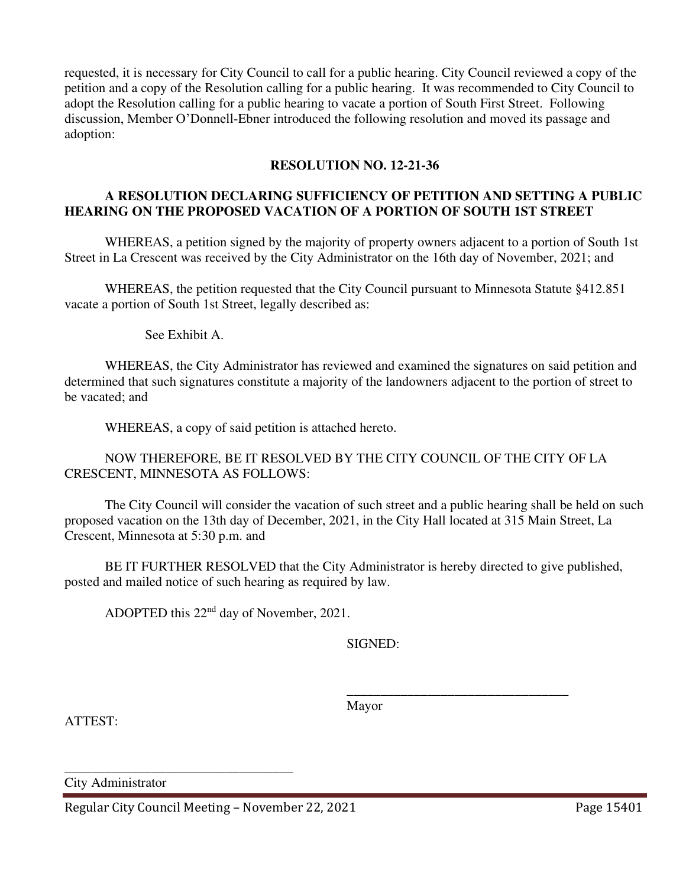requested, it is necessary for City Council to call for a public hearing. City Council reviewed a copy of the petition and a copy of the Resolution calling for a public hearing. It was recommended to City Council to adopt the Resolution calling for a public hearing to vacate a portion of South First Street. Following discussion, Member O'Donnell-Ebner introduced the following resolution and moved its passage and adoption:

# **RESOLUTION NO. 12-21-36**

## **A RESOLUTION DECLARING SUFFICIENCY OF PETITION AND SETTING A PUBLIC HEARING ON THE PROPOSED VACATION OF A PORTION OF SOUTH 1ST STREET**

WHEREAS, a petition signed by the majority of property owners adjacent to a portion of South 1st Street in La Crescent was received by the City Administrator on the 16th day of November, 2021; and

WHEREAS, the petition requested that the City Council pursuant to Minnesota Statute §412.851 vacate a portion of South 1st Street, legally described as:

See Exhibit A.

WHEREAS, the City Administrator has reviewed and examined the signatures on said petition and determined that such signatures constitute a majority of the landowners adjacent to the portion of street to be vacated; and

WHEREAS, a copy of said petition is attached hereto.

NOW THEREFORE, BE IT RESOLVED BY THE CITY COUNCIL OF THE CITY OF LA CRESCENT, MINNESOTA AS FOLLOWS:

The City Council will consider the vacation of such street and a public hearing shall be held on such proposed vacation on the 13th day of December, 2021, in the City Hall located at 315 Main Street, La Crescent, Minnesota at 5:30 p.m. and

BE IT FURTHER RESOLVED that the City Administrator is hereby directed to give published, posted and mailed notice of such hearing as required by law.

 $\overline{\phantom{a}}$  , and the contract of the contract of the contract of the contract of the contract of the contract of the contract of the contract of the contract of the contract of the contract of the contract of the contrac

ADOPTED this 22nd day of November, 2021.

SIGNED:

ATTEST:

Mayor

City Administrator

Regular City Council Meeting – November 22, 2021 Page 15401

\_\_\_\_\_\_\_\_\_\_\_\_\_\_\_\_\_\_\_\_\_\_\_\_\_\_\_\_\_\_\_\_\_\_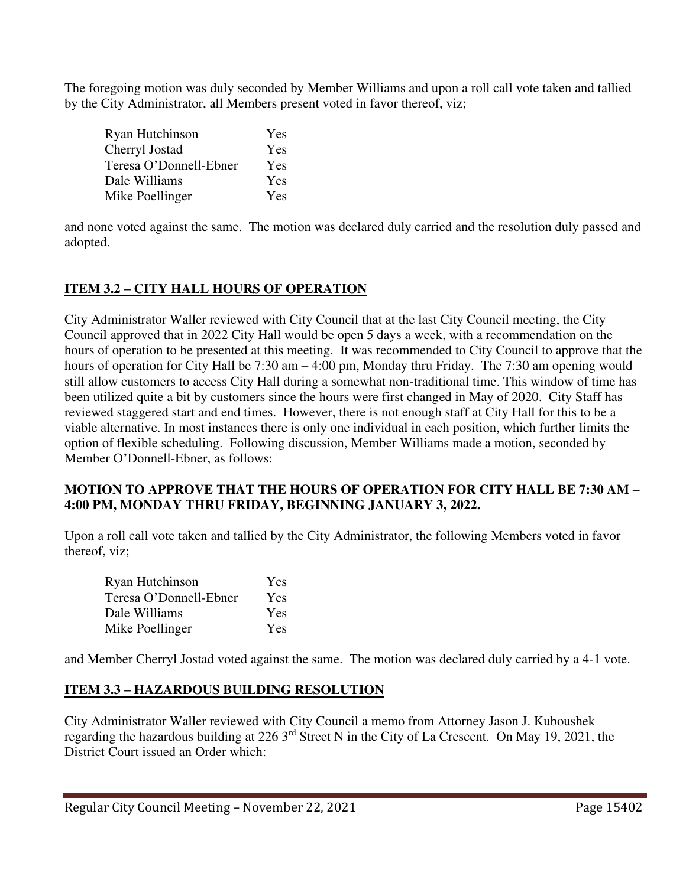The foregoing motion was duly seconded by Member Williams and upon a roll call vote taken and tallied by the City Administrator, all Members present voted in favor thereof, viz;

| Ryan Hutchinson        | Yes |
|------------------------|-----|
| Cherryl Jostad         | Yes |
| Teresa O'Donnell-Ebner | Yes |
| Dale Williams          | Yes |
| Mike Poellinger        | Yes |

and none voted against the same. The motion was declared duly carried and the resolution duly passed and adopted.

# **ITEM 3.2 – CITY HALL HOURS OF OPERATION**

City Administrator Waller reviewed with City Council that at the last City Council meeting, the City Council approved that in 2022 City Hall would be open 5 days a week, with a recommendation on the hours of operation to be presented at this meeting. It was recommended to City Council to approve that the hours of operation for City Hall be 7:30 am – 4:00 pm, Monday thru Friday. The 7:30 am opening would still allow customers to access City Hall during a somewhat non-traditional time. This window of time has been utilized quite a bit by customers since the hours were first changed in May of 2020. City Staff has reviewed staggered start and end times. However, there is not enough staff at City Hall for this to be a viable alternative. In most instances there is only one individual in each position, which further limits the option of flexible scheduling. Following discussion, Member Williams made a motion, seconded by Member O'Donnell-Ebner, as follows:

## **MOTION TO APPROVE THAT THE HOURS OF OPERATION FOR CITY HALL BE 7:30 AM – 4:00 PM, MONDAY THRU FRIDAY, BEGINNING JANUARY 3, 2022.**

Upon a roll call vote taken and tallied by the City Administrator, the following Members voted in favor thereof, viz;

| Ryan Hutchinson        | <b>Yes</b> |
|------------------------|------------|
| Teresa O'Donnell-Ebner | Yes        |
| Dale Williams          | Yes        |
| Mike Poellinger        | Yes        |

and Member Cherryl Jostad voted against the same. The motion was declared duly carried by a 4-1 vote.

# **ITEM 3.3 – HAZARDOUS BUILDING RESOLUTION**

City Administrator Waller reviewed with City Council a memo from Attorney Jason J. Kuboushek regarding the hazardous building at 226 3rd Street N in the City of La Crescent. On May 19, 2021, the District Court issued an Order which: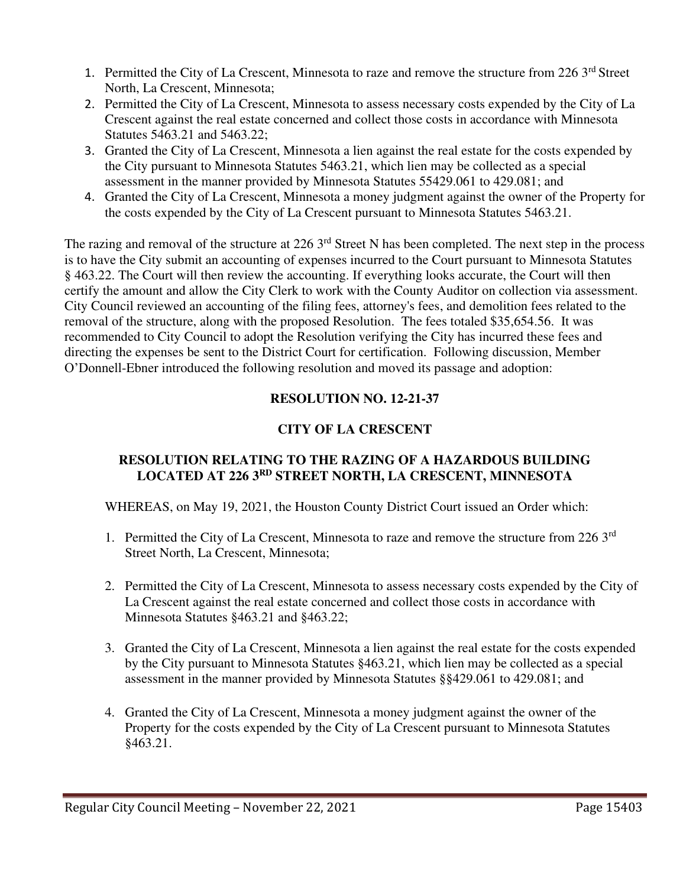- 1. Permitted the City of La Crescent, Minnesota to raze and remove the structure from 226 3<sup>rd</sup> Street North, La Crescent, Minnesota;
- 2. Permitted the City of La Crescent, Minnesota to assess necessary costs expended by the City of La Crescent against the real estate concerned and collect those costs in accordance with Minnesota Statutes 5463.21 and 5463.22;
- 3. Granted the City of La Crescent, Minnesota a lien against the real estate for the costs expended by the City pursuant to Minnesota Statutes 5463.21, which lien may be collected as a special assessment in the manner provided by Minnesota Statutes 55429.061 to 429.081; and
- 4. Granted the City of La Crescent, Minnesota a money judgment against the owner of the Property for the costs expended by the City of La Crescent pursuant to Minnesota Statutes 5463.21.

The razing and removal of the structure at 226 3<sup>rd</sup> Street N has been completed. The next step in the process is to have the City submit an accounting of expenses incurred to the Court pursuant to Minnesota Statutes § 463.22. The Court will then review the accounting. If everything looks accurate, the Court will then certify the amount and allow the City Clerk to work with the County Auditor on collection via assessment. City Council reviewed an accounting of the filing fees, attorney's fees, and demolition fees related to the removal of the structure, along with the proposed Resolution. The fees totaled \$35,654.56. It was recommended to City Council to adopt the Resolution verifying the City has incurred these fees and directing the expenses be sent to the District Court for certification. Following discussion, Member O'Donnell-Ebner introduced the following resolution and moved its passage and adoption:

# **RESOLUTION NO. 12-21-37**

# **CITY OF LA CRESCENT**

#### **RESOLUTION RELATING TO THE RAZING OF A HAZARDOUS BUILDING LOCATED AT 226 3RD STREET NORTH, LA CRESCENT, MINNESOTA**

WHEREAS, on May 19, 2021, the Houston County District Court issued an Order which:

- 1. Permitted the City of La Crescent, Minnesota to raze and remove the structure from 226 3<sup>rd</sup> Street North, La Crescent, Minnesota;
- 2. Permitted the City of La Crescent, Minnesota to assess necessary costs expended by the City of La Crescent against the real estate concerned and collect those costs in accordance with Minnesota Statutes §463.21 and §463.22;
- 3. Granted the City of La Crescent, Minnesota a lien against the real estate for the costs expended by the City pursuant to Minnesota Statutes §463.21, which lien may be collected as a special assessment in the manner provided by Minnesota Statutes §§429.061 to 429.081; and
- 4. Granted the City of La Crescent, Minnesota a money judgment against the owner of the Property for the costs expended by the City of La Crescent pursuant to Minnesota Statutes §463.21.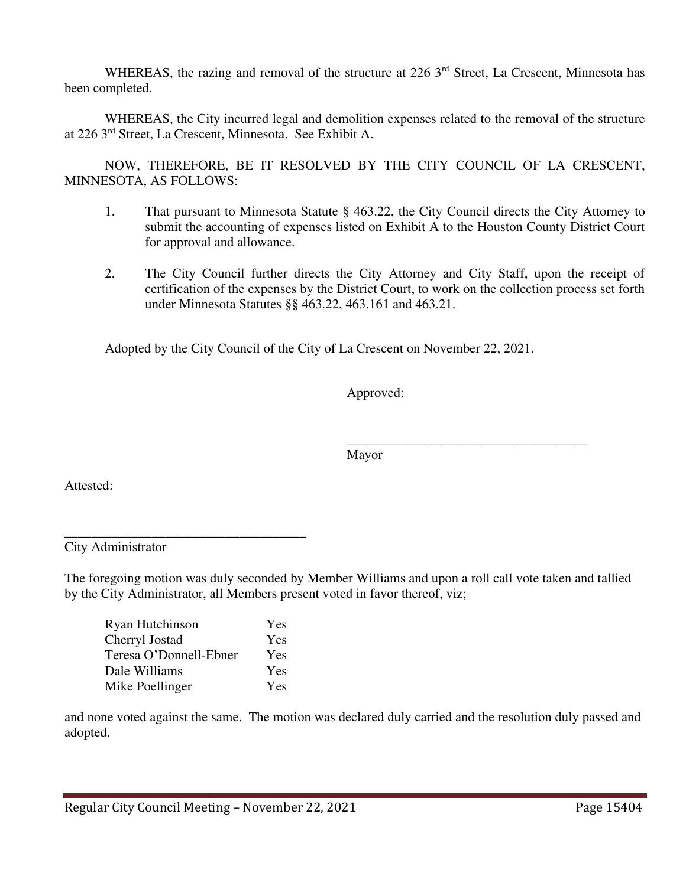WHEREAS, the razing and removal of the structure at 226 3<sup>rd</sup> Street, La Crescent, Minnesota has been completed.

 WHEREAS, the City incurred legal and demolition expenses related to the removal of the structure at 226 3rd Street, La Crescent, Minnesota. See Exhibit A.

 NOW, THEREFORE, BE IT RESOLVED BY THE CITY COUNCIL OF LA CRESCENT, MINNESOTA, AS FOLLOWS:

- 1. That pursuant to Minnesota Statute § 463.22, the City Council directs the City Attorney to submit the accounting of expenses listed on Exhibit A to the Houston County District Court for approval and allowance.
- 2. The City Council further directs the City Attorney and City Staff, upon the receipt of certification of the expenses by the District Court, to work on the collection process set forth under Minnesota Statutes §§ 463.22, 463.161 and 463.21.

Adopted by the City Council of the City of La Crescent on November 22, 2021.

Approved:

 $\overline{\phantom{a}}$  , which is a set of the set of the set of the set of the set of the set of the set of the set of the set of the set of the set of the set of the set of the set of the set of the set of the set of the set of th Mayor

Attested:

City Administrator

The foregoing motion was duly seconded by Member Williams and upon a roll call vote taken and tallied by the City Administrator, all Members present voted in favor thereof, viz;

| Ryan Hutchinson        | Yes |
|------------------------|-----|
| Cherryl Jostad         | Yes |
| Teresa O'Donnell-Ebner | Yes |
| Dale Williams          | Yes |
| Mike Poellinger        | Yes |

\_\_\_\_\_\_\_\_\_\_\_\_\_\_\_\_\_\_\_\_\_\_\_\_\_\_\_\_\_\_\_\_\_\_\_\_

and none voted against the same. The motion was declared duly carried and the resolution duly passed and adopted.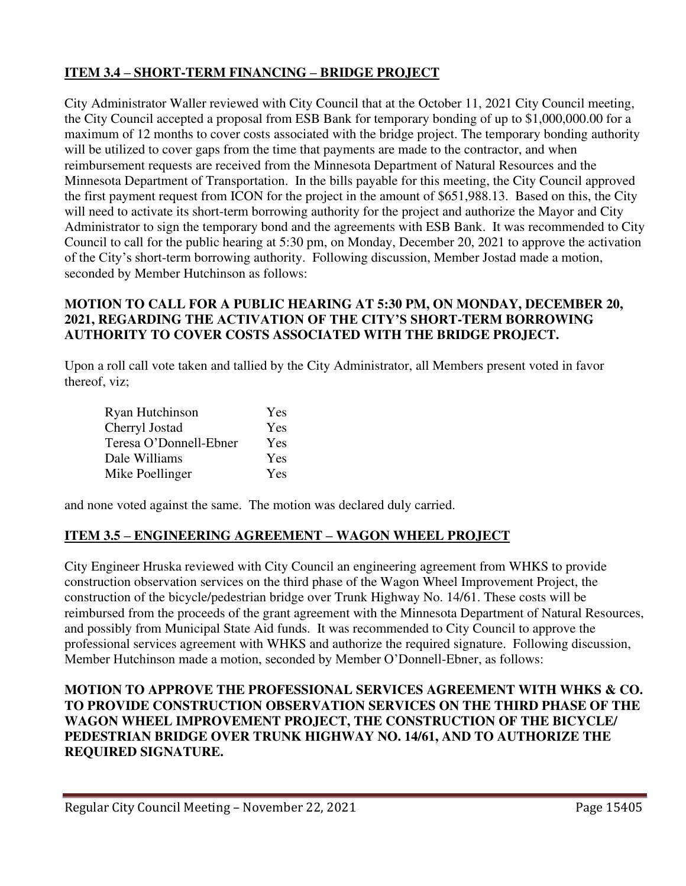# **ITEM 3.4 – SHORT-TERM FINANCING – BRIDGE PROJECT**

City Administrator Waller reviewed with City Council that at the October 11, 2021 City Council meeting, the City Council accepted a proposal from ESB Bank for temporary bonding of up to \$1,000,000.00 for a maximum of 12 months to cover costs associated with the bridge project. The temporary bonding authority will be utilized to cover gaps from the time that payments are made to the contractor, and when reimbursement requests are received from the Minnesota Department of Natural Resources and the Minnesota Department of Transportation. In the bills payable for this meeting, the City Council approved the first payment request from ICON for the project in the amount of \$651,988.13. Based on this, the City will need to activate its short-term borrowing authority for the project and authorize the Mayor and City Administrator to sign the temporary bond and the agreements with ESB Bank. It was recommended to City Council to call for the public hearing at 5:30 pm, on Monday, December 20, 2021 to approve the activation of the City's short-term borrowing authority. Following discussion, Member Jostad made a motion, seconded by Member Hutchinson as follows:

## **MOTION TO CALL FOR A PUBLIC HEARING AT 5:30 PM, ON MONDAY, DECEMBER 20, 2021, REGARDING THE ACTIVATION OF THE CITY'S SHORT-TERM BORROWING AUTHORITY TO COVER COSTS ASSOCIATED WITH THE BRIDGE PROJECT.**

Upon a roll call vote taken and tallied by the City Administrator, all Members present voted in favor thereof, viz;

| Ryan Hutchinson        | Yes |
|------------------------|-----|
| Cherryl Jostad         | Yes |
| Teresa O'Donnell-Ebner | Yes |
| Dale Williams          | Yes |
| Mike Poellinger        | Yes |

and none voted against the same. The motion was declared duly carried.

## **ITEM 3.5 – ENGINEERING AGREEMENT – WAGON WHEEL PROJECT**

City Engineer Hruska reviewed with City Council an engineering agreement from WHKS to provide construction observation services on the third phase of the Wagon Wheel Improvement Project, the construction of the bicycle/pedestrian bridge over Trunk Highway No. 14/61. These costs will be reimbursed from the proceeds of the grant agreement with the Minnesota Department of Natural Resources, and possibly from Municipal State Aid funds. It was recommended to City Council to approve the professional services agreement with WHKS and authorize the required signature. Following discussion, Member Hutchinson made a motion, seconded by Member O'Donnell-Ebner, as follows:

#### **MOTION TO APPROVE THE PROFESSIONAL SERVICES AGREEMENT WITH WHKS & CO. TO PROVIDE CONSTRUCTION OBSERVATION SERVICES ON THE THIRD PHASE OF THE WAGON WHEEL IMPROVEMENT PROJECT, THE CONSTRUCTION OF THE BICYCLE/ PEDESTRIAN BRIDGE OVER TRUNK HIGHWAY NO. 14/61, AND TO AUTHORIZE THE REQUIRED SIGNATURE.**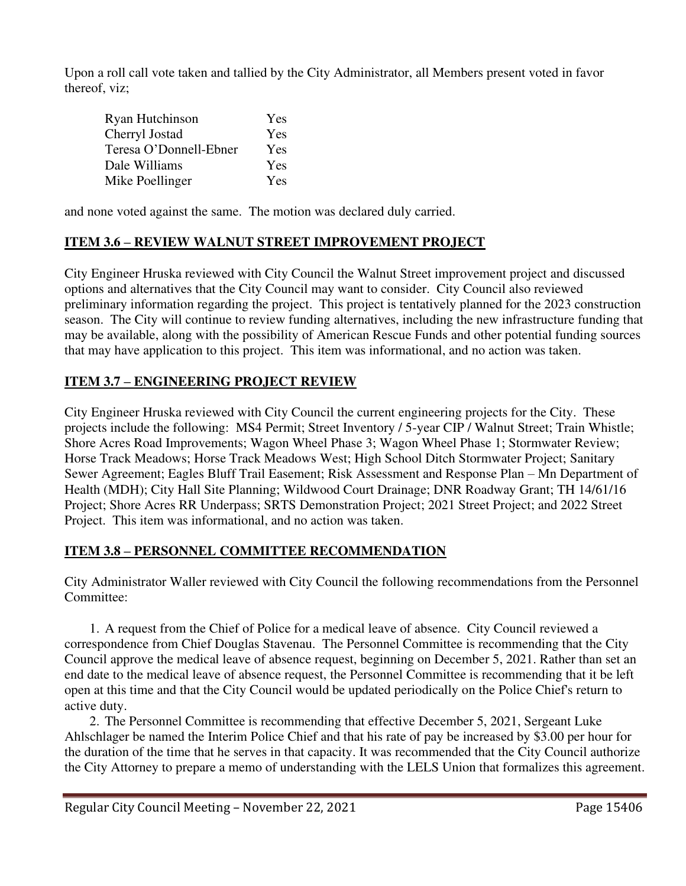Upon a roll call vote taken and tallied by the City Administrator, all Members present voted in favor thereof, viz;

| Ryan Hutchinson        | Yes |
|------------------------|-----|
| Cherryl Jostad         | Yes |
| Teresa O'Donnell-Ebner | Yes |
| Dale Williams          | Yes |
| Mike Poellinger        | Yes |

and none voted against the same. The motion was declared duly carried.

# **ITEM 3.6 – REVIEW WALNUT STREET IMPROVEMENT PROJECT**

City Engineer Hruska reviewed with City Council the Walnut Street improvement project and discussed options and alternatives that the City Council may want to consider. City Council also reviewed preliminary information regarding the project. This project is tentatively planned for the 2023 construction season. The City will continue to review funding alternatives, including the new infrastructure funding that may be available, along with the possibility of American Rescue Funds and other potential funding sources that may have application to this project. This item was informational, and no action was taken.

# **ITEM 3.7 – ENGINEERING PROJECT REVIEW**

City Engineer Hruska reviewed with City Council the current engineering projects for the City. These projects include the following: MS4 Permit; Street Inventory / 5-year CIP / Walnut Street; Train Whistle; Shore Acres Road Improvements; Wagon Wheel Phase 3; Wagon Wheel Phase 1; Stormwater Review; Horse Track Meadows; Horse Track Meadows West; High School Ditch Stormwater Project; Sanitary Sewer Agreement; Eagles Bluff Trail Easement; Risk Assessment and Response Plan – Mn Department of Health (MDH); City Hall Site Planning; Wildwood Court Drainage; DNR Roadway Grant; TH 14/61/16 Project; Shore Acres RR Underpass; SRTS Demonstration Project; 2021 Street Project; and 2022 Street Project. This item was informational, and no action was taken.

# **ITEM 3.8 – PERSONNEL COMMITTEE RECOMMENDATION**

City Administrator Waller reviewed with City Council the following recommendations from the Personnel Committee:

1. A request from the Chief of Police for a medical leave of absence. City Council reviewed a correspondence from Chief Douglas Stavenau. The Personnel Committee is recommending that the City Council approve the medical leave of absence request, beginning on December 5, 2021. Rather than set an end date to the medical leave of absence request, the Personnel Committee is recommending that it be left open at this time and that the City Council would be updated periodically on the Police Chief's return to active duty.

2. The Personnel Committee is recommending that effective December 5, 2021, Sergeant Luke Ahlschlager be named the Interim Police Chief and that his rate of pay be increased by \$3.00 per hour for the duration of the time that he serves in that capacity. It was recommended that the City Council authorize the City Attorney to prepare a memo of understanding with the LELS Union that formalizes this agreement.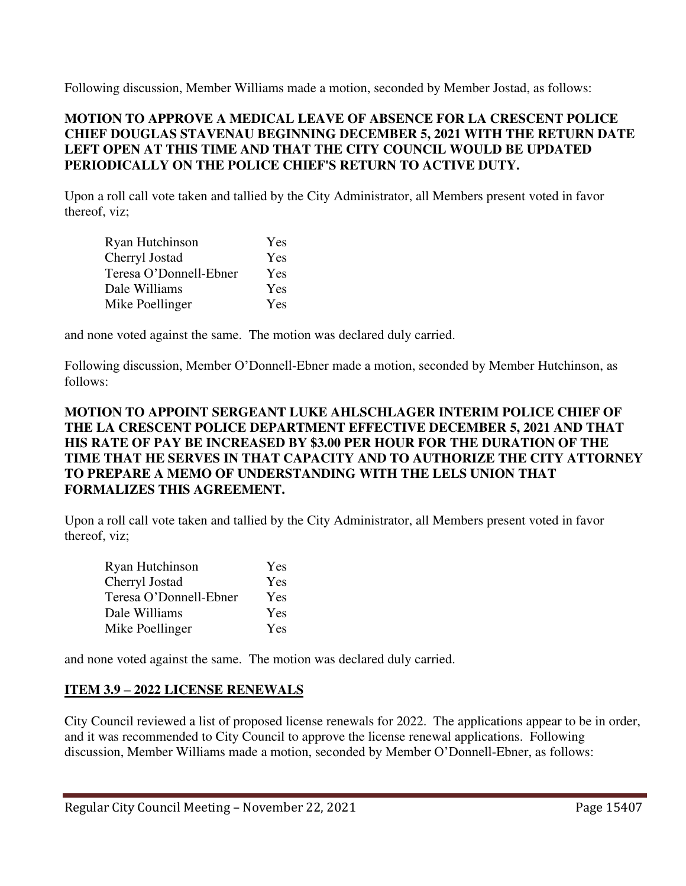Following discussion, Member Williams made a motion, seconded by Member Jostad, as follows:

## **MOTION TO APPROVE A MEDICAL LEAVE OF ABSENCE FOR LA CRESCENT POLICE CHIEF DOUGLAS STAVENAU BEGINNING DECEMBER 5, 2021 WITH THE RETURN DATE LEFT OPEN AT THIS TIME AND THAT THE CITY COUNCIL WOULD BE UPDATED PERIODICALLY ON THE POLICE CHIEF'S RETURN TO ACTIVE DUTY.**

Upon a roll call vote taken and tallied by the City Administrator, all Members present voted in favor thereof, viz;

| Ryan Hutchinson        | Yes |
|------------------------|-----|
| Cherryl Jostad         | Yes |
| Teresa O'Donnell-Ebner | Yes |
| Dale Williams          | Yes |
| Mike Poellinger        | Yes |

and none voted against the same. The motion was declared duly carried.

Following discussion, Member O'Donnell-Ebner made a motion, seconded by Member Hutchinson, as follows:

## **MOTION TO APPOINT SERGEANT LUKE AHLSCHLAGER INTERIM POLICE CHIEF OF THE LA CRESCENT POLICE DEPARTMENT EFFECTIVE DECEMBER 5, 2021 AND THAT HIS RATE OF PAY BE INCREASED BY \$3.00 PER HOUR FOR THE DURATION OF THE TIME THAT HE SERVES IN THAT CAPACITY AND TO AUTHORIZE THE CITY ATTORNEY TO PREPARE A MEMO OF UNDERSTANDING WITH THE LELS UNION THAT FORMALIZES THIS AGREEMENT.**

Upon a roll call vote taken and tallied by the City Administrator, all Members present voted in favor thereof, viz;

| Ryan Hutchinson        | Yes |
|------------------------|-----|
| Cherryl Jostad         | Yes |
| Teresa O'Donnell-Ebner | Yes |
| Dale Williams          | Yes |
| Mike Poellinger        | Yes |

and none voted against the same. The motion was declared duly carried.

# **ITEM 3.9 – 2022 LICENSE RENEWALS**

City Council reviewed a list of proposed license renewals for 2022. The applications appear to be in order, and it was recommended to City Council to approve the license renewal applications. Following discussion, Member Williams made a motion, seconded by Member O'Donnell-Ebner, as follows: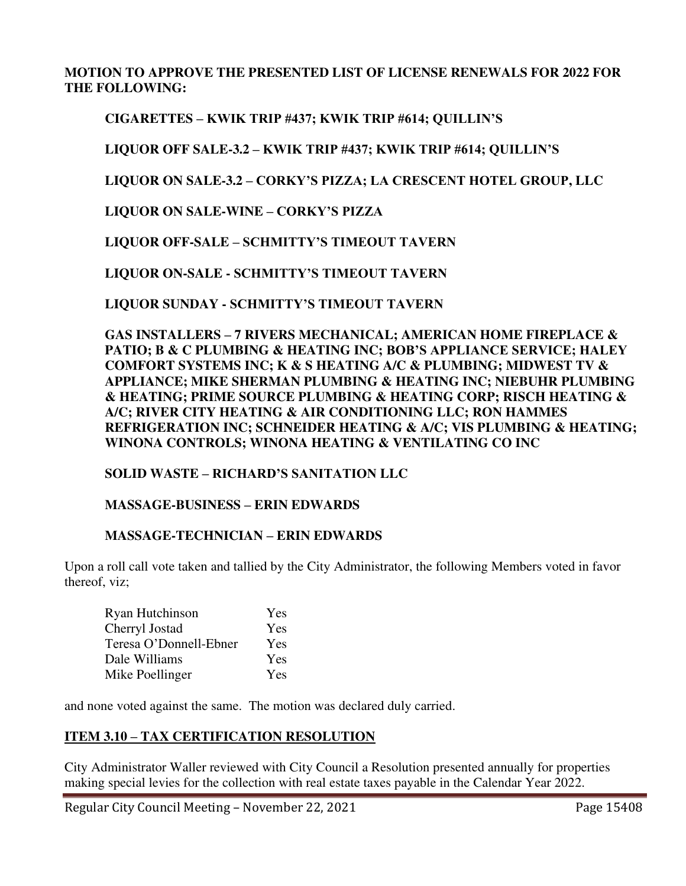## **MOTION TO APPROVE THE PRESENTED LIST OF LICENSE RENEWALS FOR 2022 FOR THE FOLLOWING:**

# **CIGARETTES – KWIK TRIP #437; KWIK TRIP #614; QUILLIN'S**

**LIQUOR OFF SALE-3.2 – KWIK TRIP #437; KWIK TRIP #614; QUILLIN'S**

**LIQUOR ON SALE-3.2 – CORKY'S PIZZA; LA CRESCENT HOTEL GROUP, LLC** 

**LIQUOR ON SALE-WINE – CORKY'S PIZZA**

**LIQUOR OFF-SALE – SCHMITTY'S TIMEOUT TAVERN**

**LIQUOR ON-SALE - SCHMITTY'S TIMEOUT TAVERN**

 **LIQUOR SUNDAY - SCHMITTY'S TIMEOUT TAVERN**

**GAS INSTALLERS – 7 RIVERS MECHANICAL; AMERICAN HOME FIREPLACE & PATIO; B & C PLUMBING & HEATING INC; BOB'S APPLIANCE SERVICE; HALEY COMFORT SYSTEMS INC; K & S HEATING A/C & PLUMBING; MIDWEST TV & APPLIANCE; MIKE SHERMAN PLUMBING & HEATING INC; NIEBUHR PLUMBING & HEATING; PRIME SOURCE PLUMBING & HEATING CORP; RISCH HEATING & A/C; RIVER CITY HEATING & AIR CONDITIONING LLC; RON HAMMES REFRIGERATION INC; SCHNEIDER HEATING & A/C; VIS PLUMBING & HEATING; WINONA CONTROLS; WINONA HEATING & VENTILATING CO INC** 

#### **SOLID WASTE – RICHARD'S SANITATION LLC**

#### **MASSAGE-BUSINESS – ERIN EDWARDS**

#### **MASSAGE-TECHNICIAN – ERIN EDWARDS**

Upon a roll call vote taken and tallied by the City Administrator, the following Members voted in favor thereof, viz;

| Ryan Hutchinson        | Yes |
|------------------------|-----|
| Cherryl Jostad         | Yes |
| Teresa O'Donnell-Ebner | Yes |
| Dale Williams          | Yes |
| Mike Poellinger        | Yes |

and none voted against the same. The motion was declared duly carried.

## **ITEM 3.10 – TAX CERTIFICATION RESOLUTION**

City Administrator Waller reviewed with City Council a Resolution presented annually for properties making special levies for the collection with real estate taxes payable in the Calendar Year 2022.

Regular City Council Meeting – November 22, 2021 Page 15408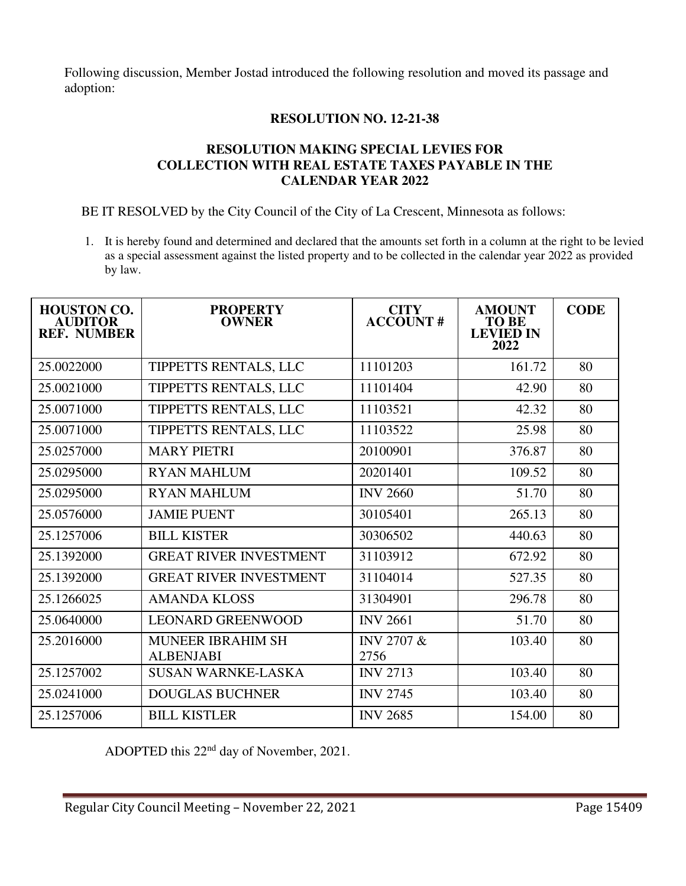Following discussion, Member Jostad introduced the following resolution and moved its passage and adoption:

## **RESOLUTION NO. 12-21-38**

## **RESOLUTION MAKING SPECIAL LEVIES FOR COLLECTION WITH REAL ESTATE TAXES PAYABLE IN THE CALENDAR YEAR 2022**

BE IT RESOLVED by the City Council of the City of La Crescent, Minnesota as follows:

1. It is hereby found and determined and declared that the amounts set forth in a column at the right to be levied as a special assessment against the listed property and to be collected in the calendar year 2022 as provided by law.

| <b>HOUSTON CO.</b><br><b>AUDITOR</b><br><b>REF. NUMBER</b> | <b>PROPERTY</b><br><b>OWNER</b>              | <b>CITY</b><br><b>ACCOUNT#</b> | <b>AMOUNT</b><br><b>TO BE</b><br><b>LEVIED IN</b><br>2022 | <b>CODE</b> |
|------------------------------------------------------------|----------------------------------------------|--------------------------------|-----------------------------------------------------------|-------------|
| 25.0022000                                                 | TIPPETTS RENTALS, LLC                        | 11101203                       | 161.72                                                    | 80          |
| 25.0021000                                                 | TIPPETTS RENTALS, LLC                        | 11101404                       | 42.90                                                     | 80          |
| 25.0071000                                                 | TIPPETTS RENTALS, LLC                        | 11103521                       | 42.32                                                     | 80          |
| 25.0071000                                                 | TIPPETTS RENTALS, LLC                        | 11103522                       | 25.98                                                     | 80          |
| 25.0257000                                                 | <b>MARY PIETRI</b>                           | 20100901                       | 376.87                                                    | 80          |
| 25.0295000                                                 | <b>RYAN MAHLUM</b>                           | 20201401                       | 109.52                                                    | 80          |
| 25.0295000                                                 | <b>RYAN MAHLUM</b>                           | <b>INV 2660</b>                | 51.70                                                     | 80          |
| 25.0576000                                                 | <b>JAMIE PUENT</b>                           | 30105401                       | 265.13                                                    | 80          |
| 25.1257006                                                 | <b>BILL KISTER</b>                           | 30306502                       | 440.63                                                    | 80          |
| 25.1392000                                                 | <b>GREAT RIVER INVESTMENT</b>                | 31103912                       | 672.92                                                    | 80          |
| 25.1392000                                                 | <b>GREAT RIVER INVESTMENT</b>                | 31104014                       | 527.35                                                    | 80          |
| 25.1266025                                                 | <b>AMANDA KLOSS</b>                          | 31304901                       | 296.78                                                    | 80          |
| 25.0640000                                                 | <b>LEONARD GREENWOOD</b>                     | <b>INV 2661</b>                | 51.70                                                     | 80          |
| 25.2016000                                                 | <b>MUNEER IBRAHIM SH</b><br><b>ALBENJABI</b> | <b>INV 2707 &amp;</b><br>2756  | 103.40                                                    | 80          |
| 25.1257002                                                 | <b>SUSAN WARNKE-LASKA</b>                    | <b>INV 2713</b>                | 103.40                                                    | 80          |
| 25.0241000                                                 | <b>DOUGLAS BUCHNER</b>                       | <b>INV 2745</b>                | 103.40                                                    | 80          |
| 25.1257006                                                 | <b>BILL KISTLER</b>                          | <b>INV 2685</b>                | 154.00                                                    | 80          |

ADOPTED this 22nd day of November, 2021.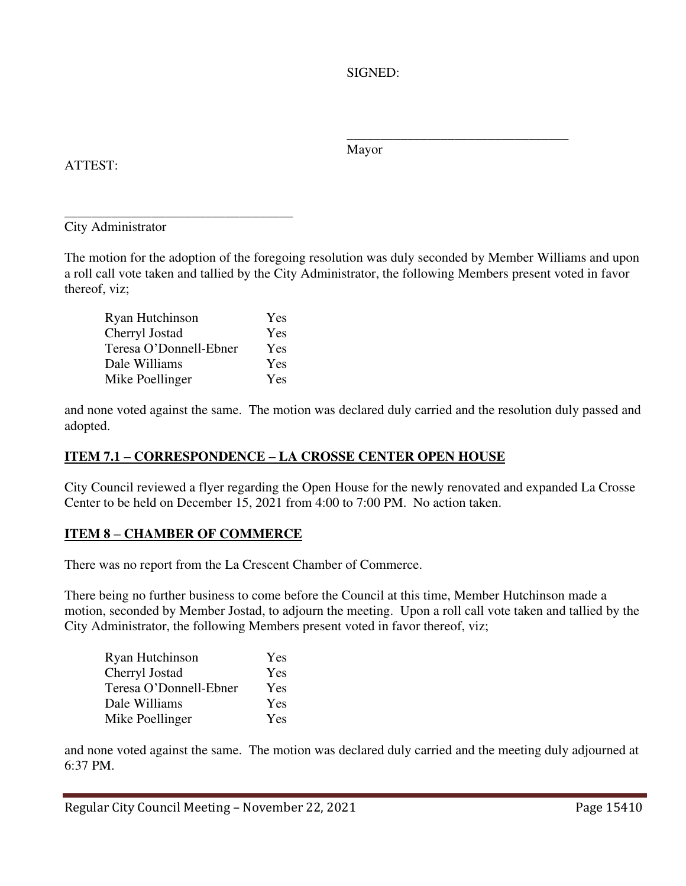SIGNED:

ATTEST:

 $\frac{1}{\sqrt{2\pi}}$  , which is a set of the set of the set of the set of the set of the set of the set of the set of the set of the set of the set of the set of the set of the set of the set of the set of the set of the set of Mayor

\_\_\_\_\_\_\_\_\_\_\_\_\_\_\_\_\_\_\_\_\_\_\_\_\_\_\_\_\_\_\_\_\_\_ City Administrator

The motion for the adoption of the foregoing resolution was duly seconded by Member Williams and upon a roll call vote taken and tallied by the City Administrator, the following Members present voted in favor thereof, viz;

Ryan Hutchinson Yes Cherryl Jostad Yes Teresa O'Donnell-Ebner Yes Dale Williams Yes Mike Poellinger Yes

and none voted against the same. The motion was declared duly carried and the resolution duly passed and adopted.

# **ITEM 7.1 – CORRESPONDENCE – LA CROSSE CENTER OPEN HOUSE**

City Council reviewed a flyer regarding the Open House for the newly renovated and expanded La Crosse Center to be held on December 15, 2021 from 4:00 to 7:00 PM. No action taken.

# **ITEM 8 – CHAMBER OF COMMERCE**

There was no report from the La Crescent Chamber of Commerce.

There being no further business to come before the Council at this time, Member Hutchinson made a motion, seconded by Member Jostad, to adjourn the meeting. Upon a roll call vote taken and tallied by the City Administrator, the following Members present voted in favor thereof, viz;

| Ryan Hutchinson        | Yes |
|------------------------|-----|
| Cherryl Jostad         | Yes |
| Teresa O'Donnell-Ebner | Yes |
| Dale Williams          | Yes |
| Mike Poellinger        | Yes |

and none voted against the same. The motion was declared duly carried and the meeting duly adjourned at 6:37 PM.